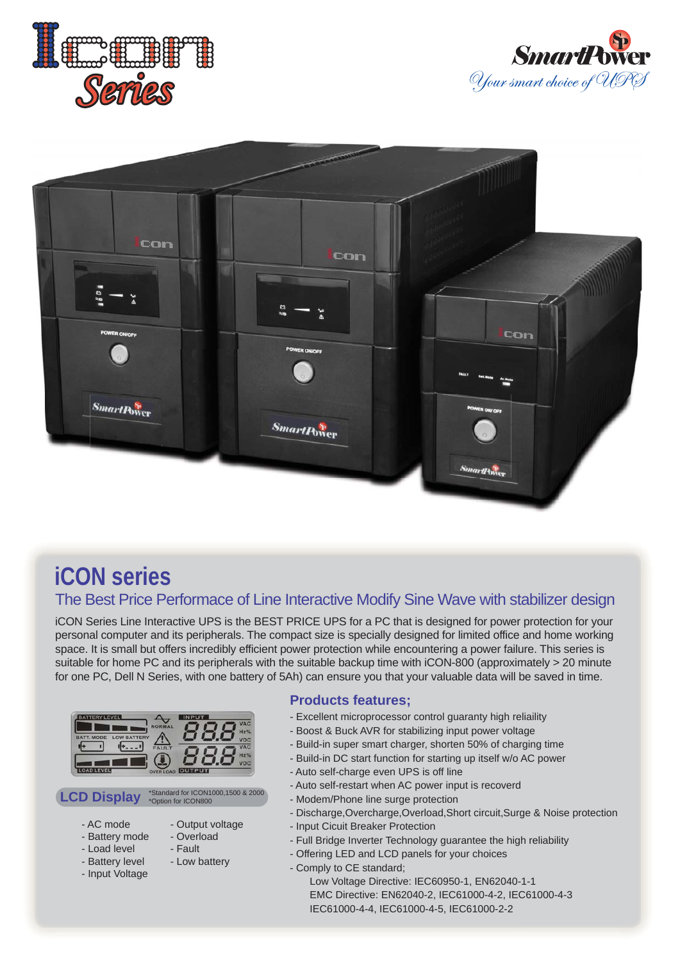





## **iCON series**

## The Best Price Performace of Line Interactive Modify Sine Wave with stabilizer design

iCON Series Line Interactive UPS is the BEST PRICE UPS for a PC that is designed for power protection for your personal computer and its peripherals. The compact size is specially designed for limited office and home working space. It is small but offers incredibly efficient power protection while encountering a power failure. This series is suitable for home PC and its peripherals with the suitable backup time with iCON-800 (approximately > 20 minute for one PC, Dell N Series, with one battery of 5Ah) can ensure you that your valuable data will be saved in time.

|                                         |                 | <b>VAC</b>          |
|-----------------------------------------|-----------------|---------------------|
| <b>LOW BATTERY</b><br><b>BATT, MODE</b> | <b>NOF</b>      | $Hz$ %<br><b>VD</b> |
|                                         | <b>FAULT</b>    | <b>VAC</b>          |
|                                         |                 | $Hz$ %              |
|                                         | <b>OVER LOA</b> |                     |



- Output voltage - Overload - Fault - Low battery

- AC mode
- Battery mode
- Load level
- Battery level
- Input Voltage
- **Products features;**
- Excellent microprocessor control guaranty high reliaility
- Boost & Buck AVR for stabilizing input power voltage
- Build-in super smart charger, shorten 50% of charging time
- Build-in DC start function for starting up itself w/o AC power
- Auto self-charge even UPS is off line
- Auto self-restart when AC power input is recoverd
- Modem/Phone line surge protection
- Discharge,Overcharge,Overload,Short circuit,Surge & Noise protection
- Input Cicuit Breaker Protection
- Full Bridge Inverter Technology guarantee the high reliability
- Offering LED and LCD panels for your choices
- Comply to CE standard;

 Low Voltage Directive: IEC60950-1, EN62040-1-1 EMC Directive: EN62040-2, IEC61000-4-2, IEC61000-4-3 IEC61000-4-4, IEC61000-4-5, IEC61000-2-2